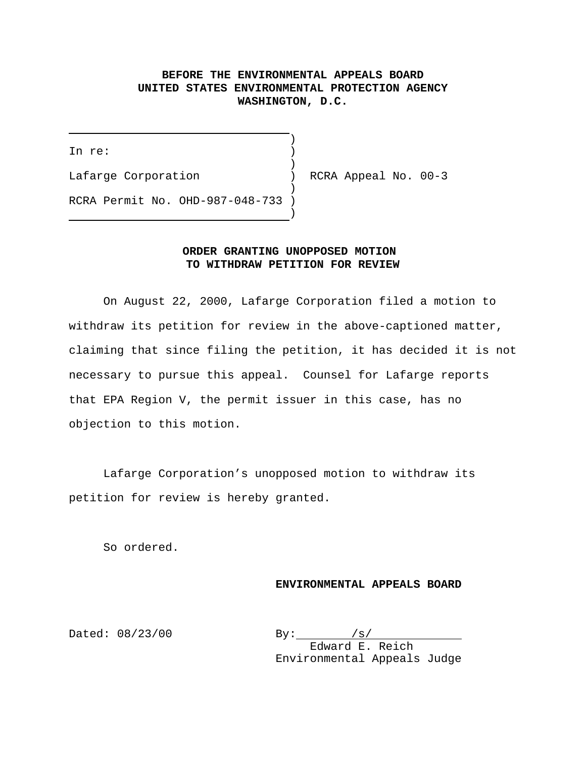# **BEFORE THE ENVIRONMENTAL APPEALS BOARD UNITED STATES ENVIRONMENTAL PROTECTION AGENCY WASHINGTON, D.C.**

)

 $\overline{\phantom{a}}$ In re: Lafarge Corporation (a) RCRA Appeal No. 00-3  $\rightarrow$ 

RCRA Permit No. OHD-987-048-733 )

## **ORDER GRANTING UNOPPOSED MOTION TO WITHDRAW PETITION FOR REVIEW**

 $\rightarrow$ 

On August 22, 2000, Lafarge Corporation filed a motion to withdraw its petition for review in the above-captioned matter, claiming that since filing the petition, it has decided it is not necessary to pursue this appeal. Counsel for Lafarge reports that EPA Region V, the permit issuer in this case, has no objection to this motion.

Lafarge Corporation's unopposed motion to withdraw its petition for review is hereby granted.

So ordered.

#### **ENVIRONMENTAL APPEALS BOARD**

Dated:  $08/23/00$  By:  $\frac{|s|}{|s|}$ Edward E. Reich Environmental Appeals Judge